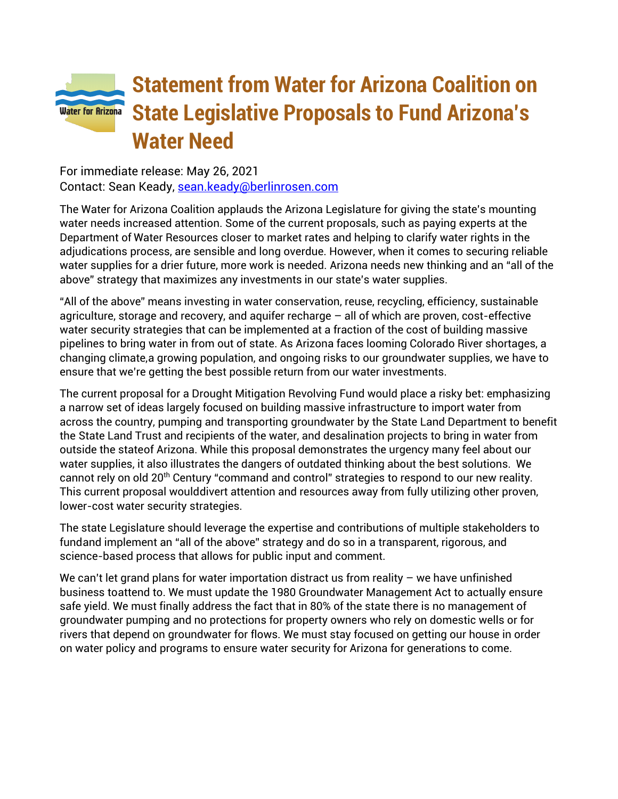## **Statement from Water for Arizona Coalition on State Legislative Proposals to Fund Arizona's Water for Arizona Water Need**

For immediate release: May 26, 2021 Contact: Sean Keady, sean.keady@berlinrosen.com

The Water for Arizona Coalition applauds the Arizona Legislature for giving the state's mounting water needs increased attention. Some of the current proposals, such as paying experts at the Department of Water Resources closer to market rates and helping to clarify water rights in the adjudications process, are sensible and long overdue. However, when it comes to securing reliable water supplies for a drier future, more work is needed. Arizona needs new thinking and an "all of the above" strategy that maximizes any investments in our state's water supplies.

"All of the above" means investing in water conservation, reuse, recycling, efficiency, sustainable agriculture, storage and recovery, and aquifer recharge – all of which are proven, cost-effective water security strategies that can be implemented at a fraction of the cost of building massive pipelines to bring water in from out of state. As Arizona faces looming Colorado River shortages, a changing climate,a growing population, and ongoing risks to our groundwater supplies, we have to ensure that we're getting the best possible return from our water investments.

The current proposal for a Drought Mitigation Revolving Fund would place a risky bet: emphasizing a narrow set of ideas largely focused on building massive infrastructure to import water from across the country, pumping and transporting groundwater by the State Land Department to benefit the State Land Trust and recipients of the water, and desalination projects to bring in water from outside the stateof Arizona. While this proposal demonstrates the urgency many feel about our water supplies, it also illustrates the dangers of outdated thinking about the best solutions. We cannot rely on old 20<sup>th</sup> Century "command and control" strategies to respond to our new reality. This current proposal woulddivert attention and resources away from fully utilizing other proven, lower-cost water security strategies.

The state Legislature should leverage the expertise and contributions of multiple stakeholders to fundand implement an "all of the above" strategy and do so in a transparent, rigorous, and science-based process that allows for public input and comment.

We can't let grand plans for water importation distract us from reality – we have unfinished business toattend to. We must update the 1980 Groundwater Management Act to actually ensure safe yield. We must finally address the fact that in 80% of the state there is no management of groundwater pumping and no protections for property owners who rely on domestic wells or for rivers that depend on groundwater for flows. We must stay focused on getting our house in order on water policy and programs to ensure water security for Arizona for generations to come.